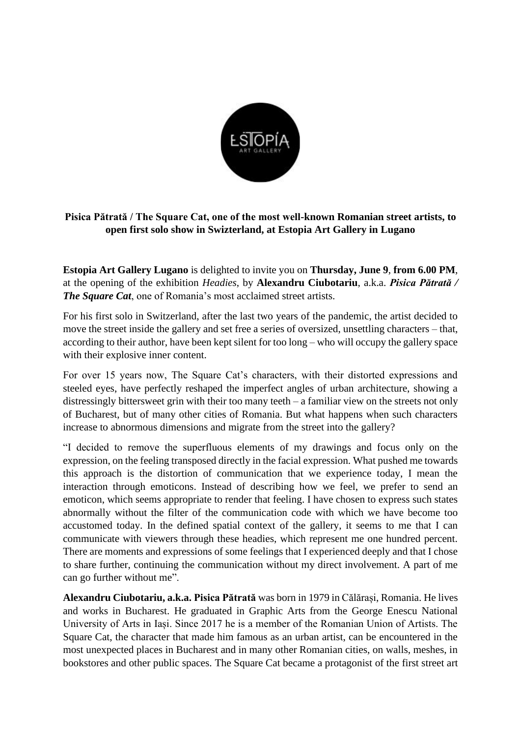

## **Pisica Pătrată / The Square Cat, one of the most well-known Romanian street artists, to open first solo show in Swizterland, at Estopia Art Gallery in Lugano**

**Estopia Art Gallery Lugano** is delighted to invite you on **Thursday, June 9**, **from 6.00 PM**, at the opening of the exhibition *Headies*, by **Alexandru Ciubotariu**, a.k.a. *Pisica Pătrată / The Square Cat*, one of Romania's most acclaimed street artists.

For his first solo in Switzerland, after the last two years of the pandemic, the artist decided to move the street inside the gallery and set free a series of oversized, unsettling characters – that, according to their author, have been kept silent for too long – who will occupy the gallery space with their explosive inner content.

For over 15 years now, The Square Cat's characters, with their distorted expressions and steeled eyes, have perfectly reshaped the imperfect angles of urban architecture, showing a distressingly bittersweet grin with their too many teeth – a familiar view on the streets not only of Bucharest, but of many other cities of Romania. But what happens when such characters increase to abnormous dimensions and migrate from the street into the gallery?

"I decided to remove the superfluous elements of my drawings and focus only on the expression, on the feeling transposed directly in the facial expression. What pushed me towards this approach is the distortion of communication that we experience today, I mean the interaction through emoticons. Instead of describing how we feel, we prefer to send an emoticon, which seems appropriate to render that feeling. I have chosen to express such states abnormally without the filter of the communication code with which we have become too accustomed today. In the defined spatial context of the gallery, it seems to me that I can communicate with viewers through these headies, which represent me one hundred percent. There are moments and expressions of some feelings that I experienced deeply and that I chose to share further, continuing the communication without my direct involvement. A part of me can go further without me".

**Alexandru Ciubotariu, a.k.a. Pisica Pătrată** was born in 1979 in Călărași, Romania. He lives and works in Bucharest. He graduated in Graphic Arts from the George Enescu National University of Arts in Iași. Since 2017 he is a member of the Romanian Union of Artists. The Square Cat, the character that made him famous as an urban artist, can be encountered in the most unexpected places in Bucharest and in many other Romanian cities, on walls, meshes, in bookstores and other public spaces. The Square Cat became a protagonist of the first street art